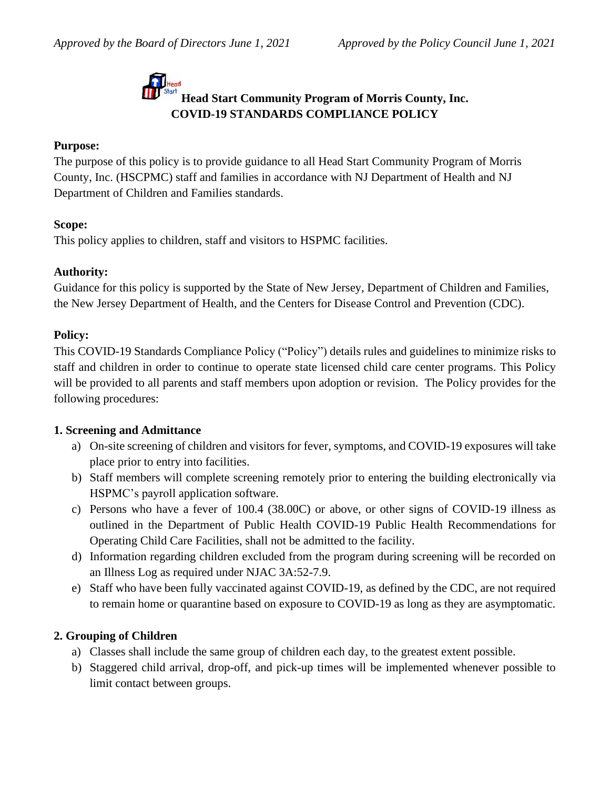# **Head Start Community Program of Morris County, Inc. COVID-19 STANDARDS COMPLIANCE POLICY**

#### **Purpose:**

The purpose of this policy is to provide guidance to all Head Start Community Program of Morris County, Inc. (HSCPMC) staff and families in accordance with NJ Department of Health and NJ Department of Children and Families standards.

#### **Scope:**

This policy applies to children, staff and visitors to HSPMC facilities.

#### **Authority:**

Guidance for this policy is supported by the State of New Jersey, Department of Children and Families, the New Jersey Department of Health, and the Centers for Disease Control and Prevention (CDC).

#### **Policy:**

This COVID-19 Standards Compliance Policy ("Policy") details rules and guidelines to minimize risks to staff and children in order to continue to operate state licensed child care center programs. This Policy will be provided to all parents and staff members upon adoption or revision. The Policy provides for the following procedures:

#### **1. Screening and Admittance**

- a) On-site screening of children and visitors for fever, symptoms, and COVID-19 exposures will take place prior to entry into facilities.
- b) Staff members will complete screening remotely prior to entering the building electronically via HSPMC's payroll application software.
- c) Persons who have a fever of 100.4 (38.00C) or above, or other signs of COVID-19 illness as outlined in the Department of Public Health COVID-19 Public Health Recommendations for Operating Child Care Facilities, shall not be admitted to the facility.
- d) Information regarding children excluded from the program during screening will be recorded on an Illness Log as required under NJAC 3A:52-7.9.
- e) Staff who have been fully vaccinated against COVID-19, as defined by the CDC, are not required to remain home or quarantine based on exposure to COVID-19 as long as they are asymptomatic.

# **2. Grouping of Children**

- a) Classes shall include the same group of children each day, to the greatest extent possible.
- b) Staggered child arrival, drop-off, and pick-up times will be implemented whenever possible to limit contact between groups.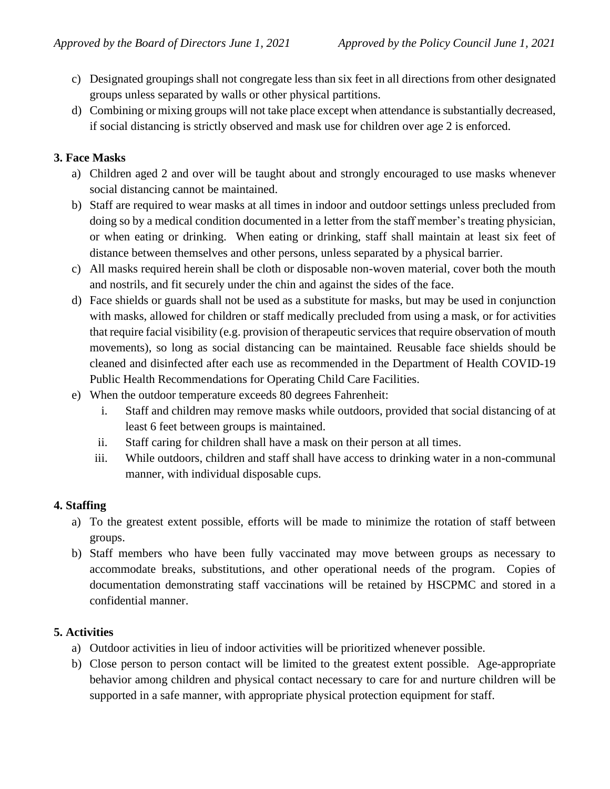- c) Designated groupings shall not congregate less than six feet in all directions from other designated groups unless separated by walls or other physical partitions.
- d) Combining or mixing groups will not take place except when attendance is substantially decreased, if social distancing is strictly observed and mask use for children over age 2 is enforced.

# **3. Face Masks**

- a) Children aged 2 and over will be taught about and strongly encouraged to use masks whenever social distancing cannot be maintained.
- b) Staff are required to wear masks at all times in indoor and outdoor settings unless precluded from doing so by a medical condition documented in a letter from the staff member's treating physician, or when eating or drinking. When eating or drinking, staff shall maintain at least six feet of distance between themselves and other persons, unless separated by a physical barrier.
- c) All masks required herein shall be cloth or disposable non-woven material, cover both the mouth and nostrils, and fit securely under the chin and against the sides of the face.
- d) Face shields or guards shall not be used as a substitute for masks, but may be used in conjunction with masks, allowed for children or staff medically precluded from using a mask, or for activities that require facial visibility (e.g. provision of therapeutic services that require observation of mouth movements), so long as social distancing can be maintained. Reusable face shields should be cleaned and disinfected after each use as recommended in the Department of Health COVID-19 Public Health Recommendations for Operating Child Care Facilities.
- e) When the outdoor temperature exceeds 80 degrees Fahrenheit:
	- i. Staff and children may remove masks while outdoors, provided that social distancing of at least 6 feet between groups is maintained.
	- ii. Staff caring for children shall have a mask on their person at all times.
	- iii. While outdoors, children and staff shall have access to drinking water in a non-communal manner, with individual disposable cups.

# **4. Staffing**

- a) To the greatest extent possible, efforts will be made to minimize the rotation of staff between groups.
- b) Staff members who have been fully vaccinated may move between groups as necessary to accommodate breaks, substitutions, and other operational needs of the program. Copies of documentation demonstrating staff vaccinations will be retained by HSCPMC and stored in a confidential manner.

# **5. Activities**

- a) Outdoor activities in lieu of indoor activities will be prioritized whenever possible.
- b) Close person to person contact will be limited to the greatest extent possible. Age-appropriate behavior among children and physical contact necessary to care for and nurture children will be supported in a safe manner, with appropriate physical protection equipment for staff.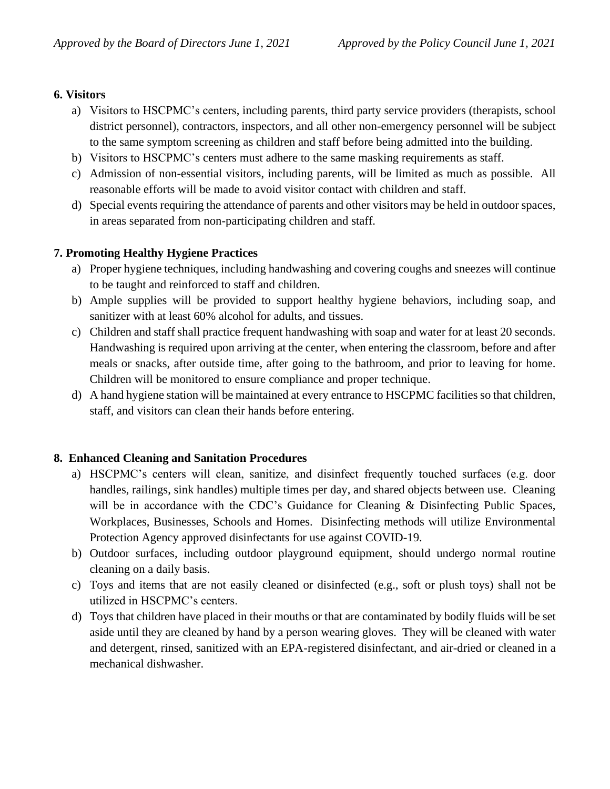# **6. Visitors**

- a) Visitors to HSCPMC's centers, including parents, third party service providers (therapists, school district personnel), contractors, inspectors, and all other non-emergency personnel will be subject to the same symptom screening as children and staff before being admitted into the building.
- b) Visitors to HSCPMC's centers must adhere to the same masking requirements as staff.
- c) Admission of non-essential visitors, including parents, will be limited as much as possible. All reasonable efforts will be made to avoid visitor contact with children and staff.
- d) Special events requiring the attendance of parents and other visitors may be held in outdoor spaces, in areas separated from non-participating children and staff.

# **7. Promoting Healthy Hygiene Practices**

- a) Proper hygiene techniques, including handwashing and covering coughs and sneezes will continue to be taught and reinforced to staff and children.
- b) Ample supplies will be provided to support healthy hygiene behaviors, including soap, and sanitizer with at least 60% alcohol for adults, and tissues.
- c) Children and staff shall practice frequent handwashing with soap and water for at least 20 seconds. Handwashing is required upon arriving at the center, when entering the classroom, before and after meals or snacks, after outside time, after going to the bathroom, and prior to leaving for home. Children will be monitored to ensure compliance and proper technique.
- d) A hand hygiene station will be maintained at every entrance to HSCPMC facilities so that children, staff, and visitors can clean their hands before entering.

# **8. Enhanced Cleaning and Sanitation Procedures**

- a) HSCPMC's centers will clean, sanitize, and disinfect frequently touched surfaces (e.g. door handles, railings, sink handles) multiple times per day, and shared objects between use. Cleaning will be in accordance with the CDC's Guidance for Cleaning & Disinfecting Public Spaces, Workplaces, Businesses, Schools and Homes. Disinfecting methods will utilize Environmental Protection Agency approved disinfectants for use against COVID-19.
- b) Outdoor surfaces, including outdoor playground equipment, should undergo normal routine cleaning on a daily basis.
- c) Toys and items that are not easily cleaned or disinfected (e.g., soft or plush toys) shall not be utilized in HSCPMC's centers.
- d) Toys that children have placed in their mouths or that are contaminated by bodily fluids will be set aside until they are cleaned by hand by a person wearing gloves. They will be cleaned with water and detergent, rinsed, sanitized with an EPA-registered disinfectant, and air-dried or cleaned in a mechanical dishwasher.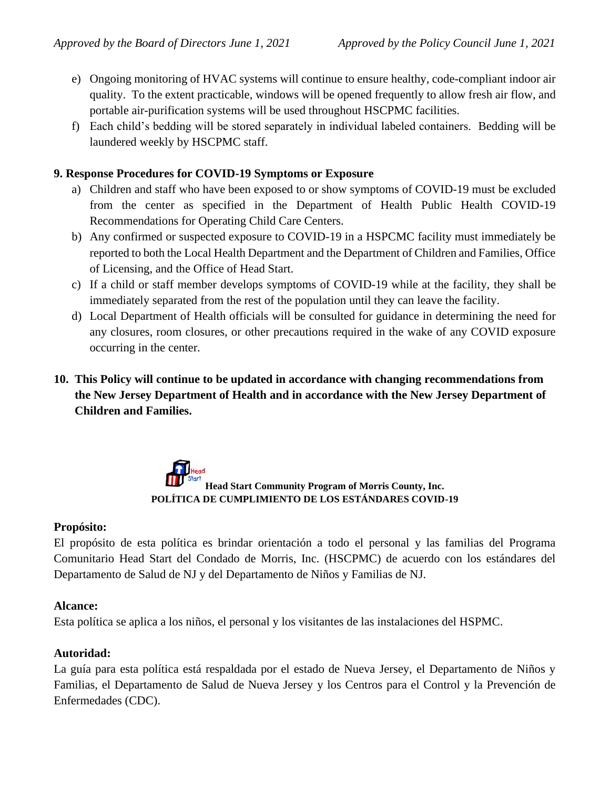- e) Ongoing monitoring of HVAC systems will continue to ensure healthy, code-compliant indoor air quality. To the extent practicable, windows will be opened frequently to allow fresh air flow, and portable air-purification systems will be used throughout HSCPMC facilities.
- f) Each child's bedding will be stored separately in individual labeled containers. Bedding will be laundered weekly by HSCPMC staff.

# **9. Response Procedures for COVID-19 Symptoms or Exposure**

- a) Children and staff who have been exposed to or show symptoms of COVID-19 must be excluded from the center as specified in the Department of Health Public Health COVID-19 Recommendations for Operating Child Care Centers.
- b) Any confirmed or suspected exposure to COVID-19 in a HSPCMC facility must immediately be reported to both the Local Health Department and the Department of Children and Families, Office of Licensing, and the Office of Head Start.
- c) If a child or staff member develops symptoms of COVID-19 while at the facility, they shall be immediately separated from the rest of the population until they can leave the facility.
- d) Local Department of Health officials will be consulted for guidance in determining the need for any closures, room closures, or other precautions required in the wake of any COVID exposure occurring in the center.
- **10. This Policy will continue to be updated in accordance with changing recommendations from the New Jersey Department of Health and in accordance with the New Jersey Department of Children and Families.**

# **Head Start Community Program of Morris County, Inc. POLÍTICA DE CUMPLIMIENTO DE LOS ESTÁNDARES COVID-19**

# **Propósito:**

El propósito de esta política es brindar orientación a todo el personal y las familias del Programa Comunitario Head Start del Condado de Morris, Inc. (HSCPMC) de acuerdo con los estándares del Departamento de Salud de NJ y del Departamento de Niños y Familias de NJ.

# **Alcance:**

Esta política se aplica a los niños, el personal y los visitantes de las instalaciones del HSPMC.

# **Autoridad:**

La guía para esta política está respaldada por el estado de Nueva Jersey, el Departamento de Niños y Familias, el Departamento de Salud de Nueva Jersey y los Centros para el Control y la Prevención de Enfermedades (CDC).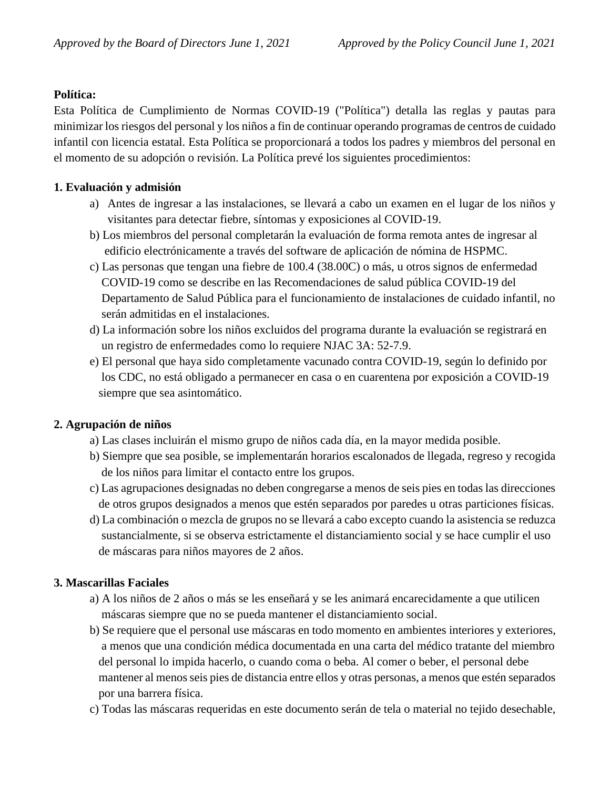# **Política:**

Esta Política de Cumplimiento de Normas COVID-19 ("Política") detalla las reglas y pautas para minimizar los riesgos del personal y los niños a fin de continuar operando programas de centros de cuidado infantil con licencia estatal. Esta Política se proporcionará a todos los padres y miembros del personal en el momento de su adopción o revisión. La Política prevé los siguientes procedimientos:

# **1. Evaluación y admisión**

- a) Antes de ingresar a las instalaciones, se llevará a cabo un examen en el lugar de los niños y visitantes para detectar fiebre, síntomas y exposiciones al COVID-19.
- b) Los miembros del personal completarán la evaluación de forma remota antes de ingresar al edificio electrónicamente a través del software de aplicación de nómina de HSPMC.
- c) Las personas que tengan una fiebre de 100.4 (38.00C) o más, u otros signos de enfermedad COVID-19 como se describe en las Recomendaciones de salud pública COVID-19 del Departamento de Salud Pública para el funcionamiento de instalaciones de cuidado infantil, no serán admitidas en el instalaciones.
- d) La información sobre los niños excluidos del programa durante la evaluación se registrará en un registro de enfermedades como lo requiere NJAC 3A: 52-7.9.
- e) El personal que haya sido completamente vacunado contra COVID-19, según lo definido por los CDC, no está obligado a permanecer en casa o en cuarentena por exposición a COVID-19 siempre que sea asintomático.

# **2. Agrupación de niños**

- a) Las clases incluirán el mismo grupo de niños cada día, en la mayor medida posible.
- b) Siempre que sea posible, se implementarán horarios escalonados de llegada, regreso y recogida de los niños para limitar el contacto entre los grupos.
- c) Las agrupaciones designadas no deben congregarse a menos de seis pies en todas las direcciones de otros grupos designados a menos que estén separados por paredes u otras particiones físicas.
- d) La combinación o mezcla de grupos no se llevará a cabo excepto cuando la asistencia se reduzca sustancialmente, si se observa estrictamente el distanciamiento social y se hace cumplir el uso de máscaras para niños mayores de 2 años.

# **3. Mascarillas Faciales**

- a) A los niños de 2 años o más se les enseñará y se les animará encarecidamente a que utilicen máscaras siempre que no se pueda mantener el distanciamiento social.
- b) Se requiere que el personal use máscaras en todo momento en ambientes interiores y exteriores, a menos que una condición médica documentada en una carta del médico tratante del miembro del personal lo impida hacerlo, o cuando coma o beba. Al comer o beber, el personal debe mantener al menos seis pies de distancia entre ellos y otras personas, a menos que estén separados por una barrera física.
- c) Todas las máscaras requeridas en este documento serán de tela o material no tejido desechable,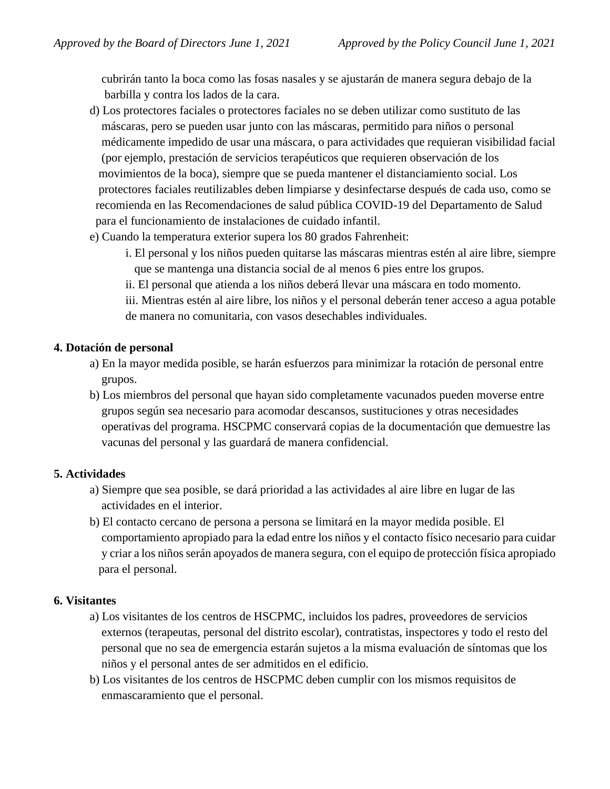cubrirán tanto la boca como las fosas nasales y se ajustarán de manera segura debajo de la barbilla y contra los lados de la cara.

- d) Los protectores faciales o protectores faciales no se deben utilizar como sustituto de las máscaras, pero se pueden usar junto con las máscaras, permitido para niños o personal médicamente impedido de usar una máscara, o para actividades que requieran visibilidad facial (por ejemplo, prestación de servicios terapéuticos que requieren observación de los movimientos de la boca), siempre que se pueda mantener el distanciamiento social. Los protectores faciales reutilizables deben limpiarse y desinfectarse después de cada uso, como se recomienda en las Recomendaciones de salud pública COVID-19 del Departamento de Salud para el funcionamiento de instalaciones de cuidado infantil.
- e) Cuando la temperatura exterior supera los 80 grados Fahrenheit:
	- i. El personal y los niños pueden quitarse las máscaras mientras estén al aire libre, siempre que se mantenga una distancia social de al menos 6 pies entre los grupos.
	- ii. El personal que atienda a los niños deberá llevar una máscara en todo momento.
	- iii. Mientras estén al aire libre, los niños y el personal deberán tener acceso a agua potable de manera no comunitaria, con vasos desechables individuales.

#### **4. Dotación de personal**

- a) En la mayor medida posible, se harán esfuerzos para minimizar la rotación de personal entre grupos.
- b) Los miembros del personal que hayan sido completamente vacunados pueden moverse entre grupos según sea necesario para acomodar descansos, sustituciones y otras necesidades operativas del programa. HSCPMC conservará copias de la documentación que demuestre las vacunas del personal y las guardará de manera confidencial.

# **5. Actividades**

- a) Siempre que sea posible, se dará prioridad a las actividades al aire libre en lugar de las actividades en el interior.
- b) El contacto cercano de persona a persona se limitará en la mayor medida posible. El comportamiento apropiado para la edad entre los niños y el contacto físico necesario para cuidar y criar a los niños serán apoyados de manera segura, con el equipo de protección física apropiado para el personal.

#### **6. Visitantes**

- a) Los visitantes de los centros de HSCPMC, incluidos los padres, proveedores de servicios externos (terapeutas, personal del distrito escolar), contratistas, inspectores y todo el resto del personal que no sea de emergencia estarán sujetos a la misma evaluación de síntomas que los niños y el personal antes de ser admitidos en el edificio.
- b) Los visitantes de los centros de HSCPMC deben cumplir con los mismos requisitos de enmascaramiento que el personal.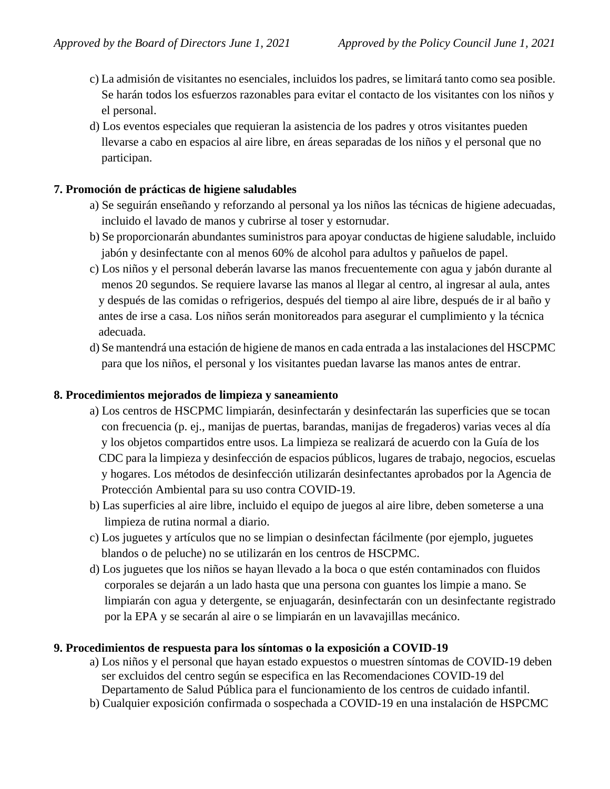- c) La admisión de visitantes no esenciales, incluidos los padres, se limitará tanto como sea posible. Se harán todos los esfuerzos razonables para evitar el contacto de los visitantes con los niños y el personal.
- d) Los eventos especiales que requieran la asistencia de los padres y otros visitantes pueden llevarse a cabo en espacios al aire libre, en áreas separadas de los niños y el personal que no participan.

#### **7. Promoción de prácticas de higiene saludables**

- a) Se seguirán enseñando y reforzando al personal ya los niños las técnicas de higiene adecuadas, incluido el lavado de manos y cubrirse al toser y estornudar.
- b) Se proporcionarán abundantes suministros para apoyar conductas de higiene saludable, incluido jabón y desinfectante con al menos 60% de alcohol para adultos y pañuelos de papel.
- c) Los niños y el personal deberán lavarse las manos frecuentemente con agua y jabón durante al menos 20 segundos. Se requiere lavarse las manos al llegar al centro, al ingresar al aula, antes y después de las comidas o refrigerios, después del tiempo al aire libre, después de ir al baño y antes de irse a casa. Los niños serán monitoreados para asegurar el cumplimiento y la técnica adecuada.
- d) Se mantendrá una estación de higiene de manos en cada entrada a las instalaciones del HSCPMC para que los niños, el personal y los visitantes puedan lavarse las manos antes de entrar.

#### **8. Procedimientos mejorados de limpieza y saneamiento**

- a) Los centros de HSCPMC limpiarán, desinfectarán y desinfectarán las superficies que se tocan con frecuencia (p. ej., manijas de puertas, barandas, manijas de fregaderos) varias veces al día y los objetos compartidos entre usos. La limpieza se realizará de acuerdo con la Guía de los CDC para la limpieza y desinfección de espacios públicos, lugares de trabajo, negocios, escuelas y hogares. Los métodos de desinfección utilizarán desinfectantes aprobados por la Agencia de Protección Ambiental para su uso contra COVID-19.
- b) Las superficies al aire libre, incluido el equipo de juegos al aire libre, deben someterse a una limpieza de rutina normal a diario.
- c) Los juguetes y artículos que no se limpian o desinfectan fácilmente (por ejemplo, juguetes blandos o de peluche) no se utilizarán en los centros de HSCPMC.
- d) Los juguetes que los niños se hayan llevado a la boca o que estén contaminados con fluidos corporales se dejarán a un lado hasta que una persona con guantes los limpie a mano. Se limpiarán con agua y detergente, se enjuagarán, desinfectarán con un desinfectante registrado por la EPA y se secarán al aire o se limpiarán en un lavavajillas mecánico.

#### **9. Procedimientos de respuesta para los síntomas o la exposición a COVID-19**

- a) Los niños y el personal que hayan estado expuestos o muestren síntomas de COVID-19 deben ser excluidos del centro según se especifica en las Recomendaciones COVID-19 del Departamento de Salud Pública para el funcionamiento de los centros de cuidado infantil.
- b) Cualquier exposición confirmada o sospechada a COVID-19 en una instalación de HSPCMC